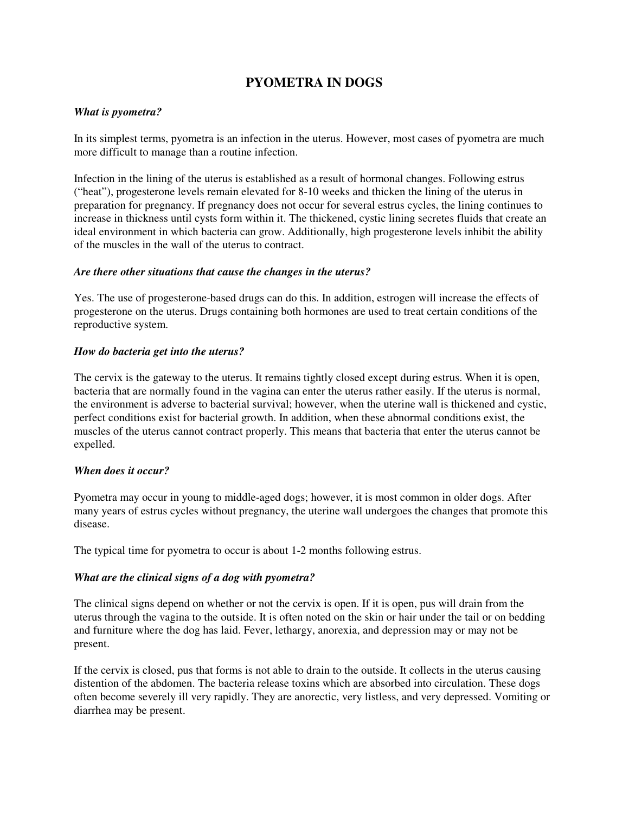# **PYOMETRA IN DOGS**

## *What is pyometra?*

In its simplest terms, pyometra is an infection in the uterus. However, most cases of pyometra are much more difficult to manage than a routine infection.

Infection in the lining of the uterus is established as a result of hormonal changes. Following estrus ("heat"), progesterone levels remain elevated for 8-10 weeks and thicken the lining of the uterus in preparation for pregnancy. If pregnancy does not occur for several estrus cycles, the lining continues to increase in thickness until cysts form within it. The thickened, cystic lining secretes fluids that create an ideal environment in which bacteria can grow. Additionally, high progesterone levels inhibit the ability of the muscles in the wall of the uterus to contract.

#### *Are there other situations that cause the changes in the uterus?*

Yes. The use of progesterone-based drugs can do this. In addition, estrogen will increase the effects of progesterone on the uterus. Drugs containing both hormones are used to treat certain conditions of the reproductive system.

## *How do bacteria get into the uterus?*

The cervix is the gateway to the uterus. It remains tightly closed except during estrus. When it is open, bacteria that are normally found in the vagina can enter the uterus rather easily. If the uterus is normal, the environment is adverse to bacterial survival; however, when the uterine wall is thickened and cystic, perfect conditions exist for bacterial growth. In addition, when these abnormal conditions exist, the muscles of the uterus cannot contract properly. This means that bacteria that enter the uterus cannot be expelled.

## *When does it occur?*

Pyometra may occur in young to middle-aged dogs; however, it is most common in older dogs. After many years of estrus cycles without pregnancy, the uterine wall undergoes the changes that promote this disease.

The typical time for pyometra to occur is about 1-2 months following estrus.

#### *What are the clinical signs of a dog with pyometra?*

The clinical signs depend on whether or not the cervix is open. If it is open, pus will drain from the uterus through the vagina to the outside. It is often noted on the skin or hair under the tail or on bedding and furniture where the dog has laid. Fever, lethargy, anorexia, and depression may or may not be present.

If the cervix is closed, pus that forms is not able to drain to the outside. It collects in the uterus causing distention of the abdomen. The bacteria release toxins which are absorbed into circulation. These dogs often become severely ill very rapidly. They are anorectic, very listless, and very depressed. Vomiting or diarrhea may be present.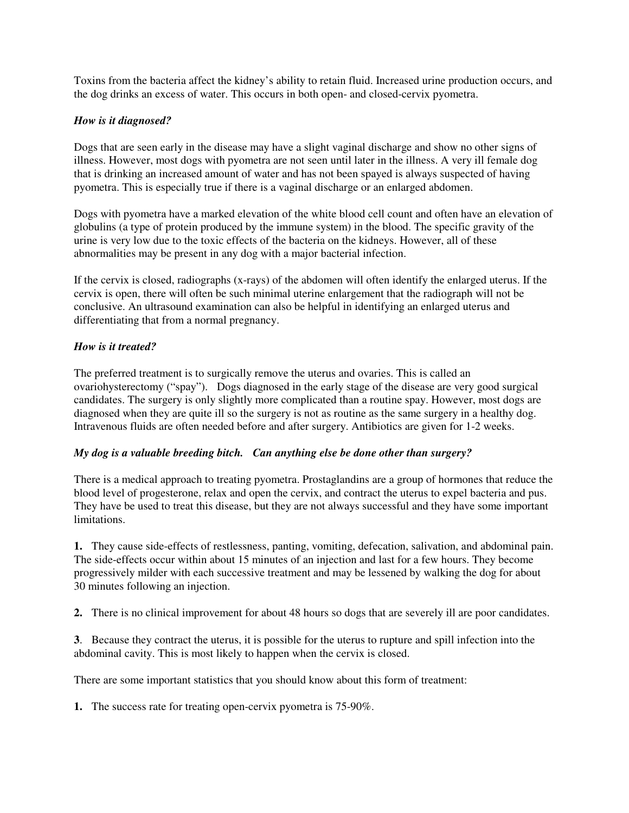Toxins from the bacteria affect the kidney's ability to retain fluid. Increased urine production occurs, and the dog drinks an excess of water. This occurs in both open- and closed-cervix pyometra.

## *How is it diagnosed?*

Dogs that are seen early in the disease may have a slight vaginal discharge and show no other signs of illness. However, most dogs with pyometra are not seen until later in the illness. A very ill female dog that is drinking an increased amount of water and has not been spayed is always suspected of having pyometra. This is especially true if there is a vaginal discharge or an enlarged abdomen.

Dogs with pyometra have a marked elevation of the white blood cell count and often have an elevation of globulins (a type of protein produced by the immune system) in the blood. The specific gravity of the urine is very low due to the toxic effects of the bacteria on the kidneys. However, all of these abnormalities may be present in any dog with a major bacterial infection.

If the cervix is closed, radiographs (x-rays) of the abdomen will often identify the enlarged uterus. If the cervix is open, there will often be such minimal uterine enlargement that the radiograph will not be conclusive. An ultrasound examination can also be helpful in identifying an enlarged uterus and differentiating that from a normal pregnancy.

# *How is it treated?*

The preferred treatment is to surgically remove the uterus and ovaries. This is called an ovariohysterectomy ("spay"). Dogs diagnosed in the early stage of the disease are very good surgical candidates. The surgery is only slightly more complicated than a routine spay. However, most dogs are diagnosed when they are quite ill so the surgery is not as routine as the same surgery in a healthy dog. Intravenous fluids are often needed before and after surgery. Antibiotics are given for 1-2 weeks.

## *My dog is a valuable breeding bitch. Can anything else be done other than surgery?*

There is a medical approach to treating pyometra. Prostaglandins are a group of hormones that reduce the blood level of progesterone, relax and open the cervix, and contract the uterus to expel bacteria and pus. They have be used to treat this disease, but they are not always successful and they have some important limitations.

**1.** They cause side-effects of restlessness, panting, vomiting, defecation, salivation, and abdominal pain. The side-effects occur within about 15 minutes of an injection and last for a few hours. They become progressively milder with each successive treatment and may be lessened by walking the dog for about 30 minutes following an injection.

**2.** There is no clinical improvement for about 48 hours so dogs that are severely ill are poor candidates.

**3**. Because they contract the uterus, it is possible for the uterus to rupture and spill infection into the abdominal cavity. This is most likely to happen when the cervix is closed.

There are some important statistics that you should know about this form of treatment:

**1.** The success rate for treating open-cervix pyometra is 75-90%.